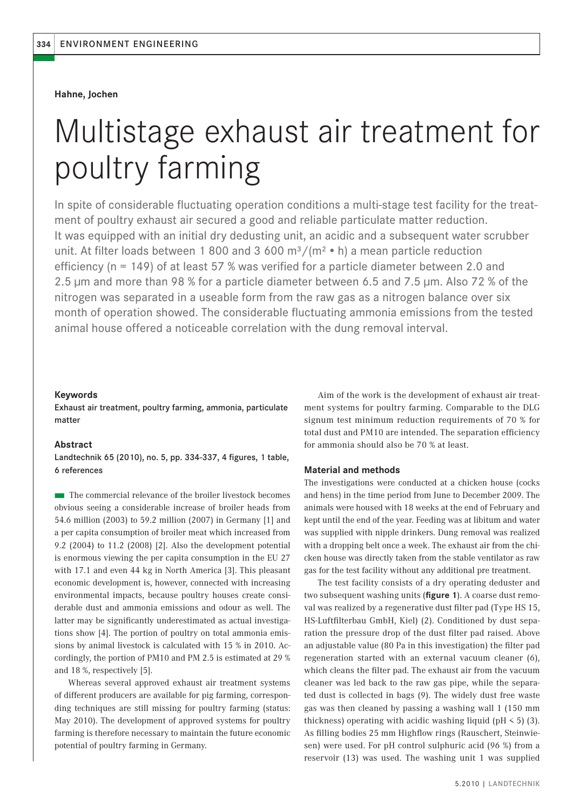## **Hahne, Jochen**

# Multistage exhaust air treatment for poultry farming

In spite of considerable fluctuating operation conditions a multi-stage test facility for the treatment of poultry exhaust air secured a good and reliable particulate matter reduction. It was equipped with an initial dry dedusting unit, an acidic and a subsequent water scrubber unit. At filter loads between 1 800 and 3 600 m<sup>3</sup>/(m<sup>2</sup> • h) a mean particle reduction efficiency (n = 149) of at least 57 % was verified for a particle diameter between 2.0 and 2.5 μm and more than 98 % for a particle diameter between 6.5 and 7.5 μm. Also 72 % of the nitrogen was separated in a useable form from the raw gas as a nitrogen balance over six month of operation showed. The considerable fluctuating ammonia emissions from the tested animal house offered a noticeable correlation with the dung removal interval.

## **Keywords**

Exhaust air treatment, poultry farming, ammonia, particulate matter

## **Abstract**

Landtechnik 65 (2010), no. 5, pp. 334-337, 4 figures, 1 table, 6 references

■ The commercial relevance of the broiler livestock becomes obvious seeing a considerable increase of broiler heads from 54.6 million (2003) to 59.2 million (2007) in Germany [1] and a per capita consumption of broiler meat which increased from 9.2 (2004) to 11.2 (2008) [2]. Also the development potential is enormous viewing the per capita consumption in the EU 27 with 17.1 and even 44 kg in North America [3]. This pleasant economic development is, however, connected with increasing environmental impacts, because poultry houses create considerable dust and ammonia emissions and odour as well. The latter may be significantly underestimated as actual investigations show [4]. The portion of poultry on total ammonia emissions by animal livestock is calculated with 15 % in 2010. Accordingly, the portion of PM10 and PM 2.5 is estimated at 29 % and 18 %, respectively [5].

Whereas several approved exhaust air treatment systems of different producers are available for pig farming, corresponding techniques are still missing for poultry farming (status: May 2010). The development of approved systems for poultry farming is therefore necessary to maintain the future economic potential of poultry farming in Germany.

Aim of the work is the development of exhaust air treatment systems for poultry farming. Comparable to the DLG signum test minimum reduction requirements of 70 % for total dust and PM10 are intended. The separation efficiency for ammonia should also be 70 % at least.

## **Material and methods**

The investigations were conducted at a chicken house (cocks and hens) in the time period from June to December 2009. The animals were housed with 18 weeks at the end of February and kept until the end of the year. Feeding was at libitum and water was supplied with nipple drinkers. Dung removal was realized with a dropping belt once a week. The exhaust air from the chicken house was directly taken from the stable ventilator as raw gas for the test facility without any additional pre treatment.

The test facility consists of a dry operating deduster and two subsequent washing units (figure 1). A coarse dust removal was realized by a regenerative dust filter pad (Type HS 15, HS-Luftfilterbau GmbH, Kiel) (2). Conditioned by dust separation the pressure drop of the dust filter pad raised. Above an adjustable value (80 Pa in this investigation) the filter pad regeneration started with an external vacuum cleaner (6), which cleans the filter pad. The exhaust air from the vacuum cleaner was led back to the raw gas pipe, while the separated dust is collected in bags (9). The widely dust free waste gas was then cleaned by passing a washing wall 1 (150 mm thickness) operating with acidic washing liquid ( $pH < 5$ ) (3). As filling bodies 25 mm Highflow rings (Rauschert, Steinwiesen) were used. For pH control sulphuric acid (96 %) from a reservoir (13) was used. The washing unit 1 was supplied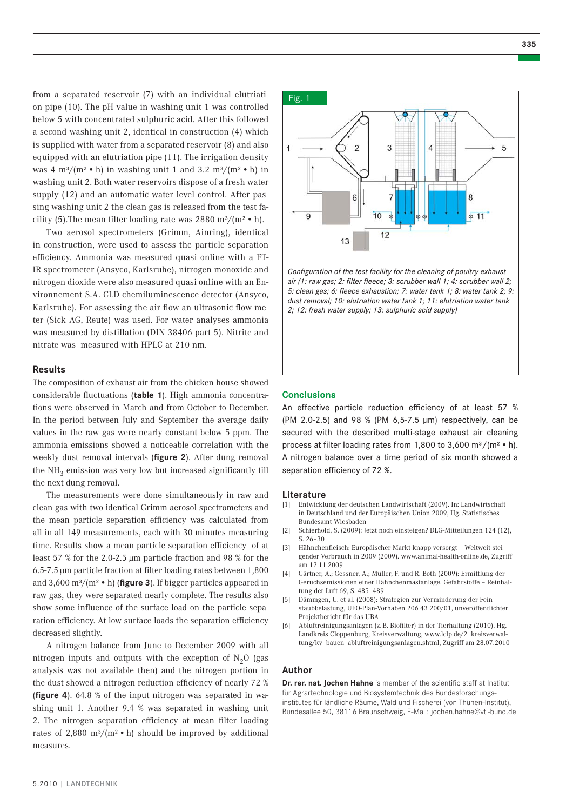from a separated reservoir (7) with an individual elutriation pipe (10). The pH value in washing unit 1 was controlled below 5 with concentrated sulphuric acid. After this followed a second washing unit 2, identical in construction (4) which is supplied with water from a separated reservoir (8) and also equipped with an elutriation pipe (11). The irrigation density was 4 m<sup>3</sup>/(m<sup>2</sup> • h) in washing unit 1 and 3.2 m<sup>3</sup>/(m<sup>2</sup> • h) in washing unit 2. Both water reservoirs dispose of a fresh water supply (12) and an automatic water level control. After passing washing unit 2 the clean gas is released from the test facility (5). The mean filter loading rate was  $2880 \text{ m}^3/(\text{m}^2 \cdot \text{h})$ .

Two aerosol spectrometers (Grimm, Ainring), identical in construction, were used to assess the particle separation efficiency. Ammonia was measured quasi online with a FT-IR spectrometer (Ansyco, Karlsruhe), nitrogen monoxide and nitrogen dioxide were also measured quasi online with an Environnement S.A. CLD chemiluminescence detector (Ansyco, Karlsruhe). For assessing the air flow an ultrasonic flow meter (Sick AG, Reute) was used. For water analyses ammonia was measured by distillation (DIN 38406 part 5). Nitrite and nitrate was measured with HPLC at 210 nm.

### **Results**

The composition of exhaust air from the chicken house showed considerable fluctuations (table 1). High ammonia concentrations were observed in March and from October to December. In the period between July and September the average daily values in the raw gas were nearly constant below 5 ppm. The ammonia emissions showed a noticeable correlation with the weekly dust removal intervals (figure 2). After dung removal the NH<sub>2</sub> emission was very low but increased significantly till the next dung removal.

The measurements were done simultaneously in raw and clean gas with two identical Grimm aerosol spectrometers and the mean particle separation efficiency was calculated from all in all 149 measurements, each with 30 minutes measuring time. Results show a mean particle separation efficiency of at least 57 % for the 2.0-2.5 μm particle fraction and 98 % for the  $6.5$ -7.5  $\mu$ m particle fraction at filter loading rates between 1,800 and  $3,600 \text{ m}^3/\text{m}^2 \cdot \text{h}$  (**figure 3**). If bigger particles appeared in raw gas, they were separated nearly complete. The results also show some influence of the surface load on the particle separation efficiency. At low surface loads the separation efficiency decreased slightly.

A nitrogen balance from June to December 2009 with all nitrogen inputs and outputs with the exception of  $N<sub>2</sub>O$  (gas analysis was not available then) and the nitrogen portion in the dust showed a nitrogen reduction efficiency of nearly 72 % (**figure 4**). 64.8 % of the input nitrogen was separated in washing unit 1. Another 9.4 % was separated in washing unit 2. The nitrogen separation efficiency at mean filter loading rates of 2.880 m<sup>3</sup>/(m<sup>2</sup> • h) should be improved by additional measures.

# Fig. 1 $\overline{2}$ 3  $\overline{4}$ 5 6 8  $10$  $11$  $12$ 13

Configuration of the test facility for the cleaning of poultry exhaust air (1: raw gas; 2: filter fleece; 3: scrubber wall 1; 4: scrubber wall 2; *5: clean gas; 6: fl eece exhaustion; 7: water tank 1; 8: water tank 2; 9: dust removal; 10: elutriation water tank 1; 11: elutriation water tank 2; 12: fresh water supply; 13: sulphuric acid supply)* 

## **Conclusions**

An effective particle reduction efficiency of at least 57 % (PM 2.0-2.5) and 98 % (PM 6,5-7.5 μm) respectively, can be secured with the described multi-stage exhaust air cleaning process at filter loading rates from 1,800 to 3,600 m<sup>3</sup>/(m<sup>2</sup> · h). A nitrogen balance over a time period of six month showed a separation efficiency of 72 %.

#### **Literature**

- [1] Entwicklung der deutschen Landwirtschaft (2009). In: Landwirtschaft in Deutschland und der Europäischen Union 2009, Hg. Statistisches Bundesamt Wiesbaden
- [2] Schierhold, S. (2009): Jetzt noch einsteigen? DLG-Mitteilungen 124 (12), S. 26–30
- [3] Hähnchenfleisch: Europäischer Markt knapp versorgt Weltweit steigender Verbrauch in 2009 (2009). www.animal-health-online.de, Zugriff am 12.11.2009
- [4] Gärtner, A.; Gessner, A.; Müller, F. und R. Both (2009): Ermittlung der Geruchsemissionen einer Hähnchenmastanlage. Gefahrstoffe – Reinhaltung der Luft 69, S. 485–489
- [5] Dämmgen, U. et al. (2008): Strategien zur Verminderung der Feinstaubbelastung, UFO-Plan-Vorhaben 206 43 200/01, unveröffentlichter Projektbericht für das UBA
- [6] Abluftreinigungsanlagen (z. B. Biofilter) in der Tierhaltung (2010). Hg. Landkreis Cloppenburg, Kreisverwaltung, www.lclp.de/2\_kreisverwaltung/kv\_bauen\_abluftreinigungsanlagen.shtml, Zugriff am 28.07.2010

## **Author**

Dr. rer. nat. Jochen Hahne is member of the scientific staff at Institut für Agrartechnologie und Biosystemtechnik des Bundesforschungsinstitutes für ländliche Räume, Wald und Fischerei (von Thünen-Institut), Bundesallee 50, 38116 Braunschweig, E-Mail: jochen.hahne@vti-bund.de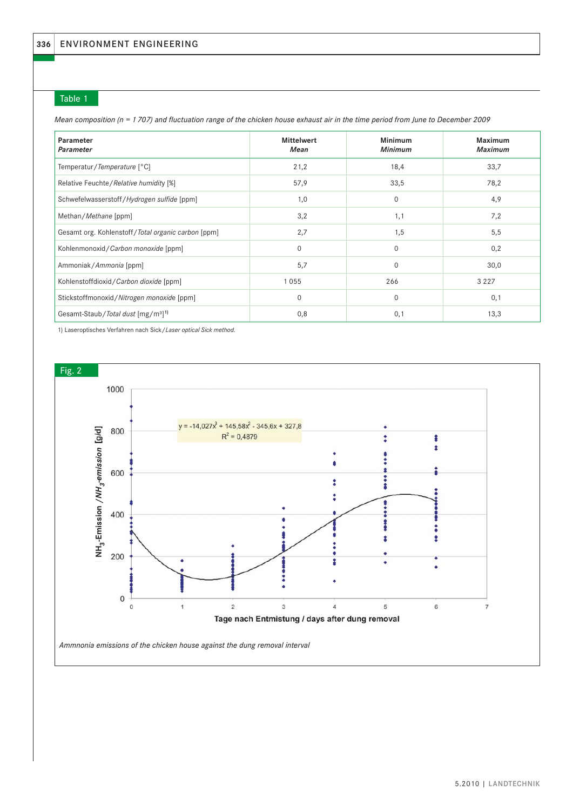## Table 1

*Mean composition (n = 1 707) and fluctuation range of the chicken house exhaust air in the time period from June to December 2009* 

| Parameter<br><b>Parameter</b>                              | <b>Mittelwert</b><br>Mean | <b>Minimum</b><br><b>Minimum</b> | <b>Maximum</b><br><b>Maximum</b> |
|------------------------------------------------------------|---------------------------|----------------------------------|----------------------------------|
| Temperatur/Temperature [°C]                                | 21,2                      | 18,4                             | 33,7                             |
| Relative Feuchte/Relative humidity [%]                     | 57,9                      | 33,5                             | 78,2                             |
| Schwefelwasserstoff/Hydrogen sulfide [ppm]                 | 1,0                       | $\Omega$                         | 4,9                              |
| Methan/Methane [ppm]                                       | 3,2                       | 1,1                              | 7,2                              |
| Gesamt org. Kohlenstoff/Total organic carbon [ppm]         | 2,7                       | 1,5                              | 5,5                              |
| Kohlenmonoxid/Carbon monoxide [ppm]                        | $\Omega$                  | $\Omega$                         | 0,2                              |
| Ammoniak/Ammonia [ppm]                                     | 5,7                       | $\Omega$                         | 30,0                             |
| Kohlenstoffdioxid / Carbon dioxide [ppm]                   | 1055                      | 266                              | 3 2 2 7                          |
| Stickstoffmonoxid/Nitrogen monoxide [ppm]                  | $\Omega$                  | $\Omega$                         | 0,1                              |
| Gesamt-Staub/Total dust [mg/m <sup>3</sup> ] <sup>1)</sup> | 0,8                       | 0,1                              | 13,3                             |

1) Laseroptisches Verfahren nach Sick/*Laser optical Sick method.*